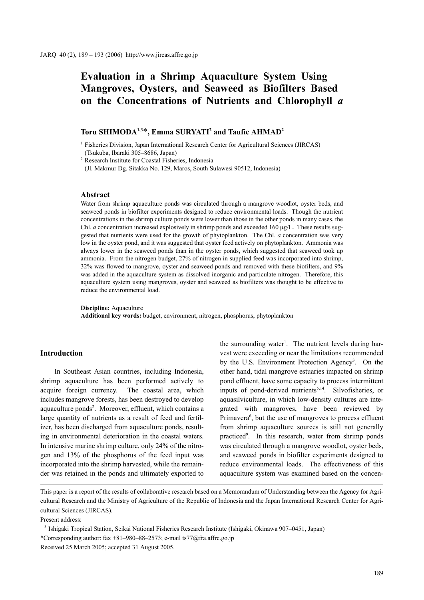# **Evaluation in a Shrimp Aquaculture System Using Mangroves, Oysters, and Seaweed as Biofilters Based on the Concentrations of Nutrients and Chlorophyll** *a*

# **Toru SHIMODA1,3**\***, Emma SURYATI2 and Taufic AHMAD2**

<sup>1</sup> Fisheries Division, Japan International Research Center for Agricultural Sciences (JIRCAS) (Tsukuba, Ibaraki 305–8686, Japan)

<sup>2</sup> Research Institute for Coastal Fisheries, Indonesia

(Jl. Makmur Dg. Sitakka No. 129, Maros, South Sulawesi 90512, Indonesia)

### **Abstract**

Water from shrimp aquaculture ponds was circulated through a mangrove woodlot, oyster beds, and seaweed ponds in biofilter experiments designed to reduce environmental loads. Though the nutrient concentrations in the shrimp culture ponds were lower than those in the other ponds in many cases, the Chl. *a* concentration increased explosively in shrimp ponds and exceeded 160 μg/L. These results suggested that nutrients were used for the growth of phytoplankton. The Chl. *a* concentration was very low in the oyster pond, and it was suggested that oyster feed actively on phytoplankton. Ammonia was always lower in the seaweed ponds than in the oyster ponds, which suggested that seaweed took up ammonia. From the nitrogen budget, 27% of nitrogen in supplied feed was incorporated into shrimp, 32% was flowed to mangrove, oyster and seaweed ponds and removed with these biofilters, and 9% was added in the aquaculture system as dissolved inorganic and particulate nitrogen. Therefore, this aquaculture system using mangroves, oyster and seaweed as biofilters was thought to be effective to reduce the environmental load.

**Discipline:** Aquaculture

**Additional key words:** budget, environment, nitrogen, phosphorus, phytoplankton

# **Introduction**

In Southeast Asian countries, including Indonesia, shrimp aquaculture has been performed actively to acquire foreign currency. The coastal area, which includes mangrove forests, has been destroyed to develop aquaculture ponds<sup>2</sup>. Moreover, effluent, which contains a large quantity of nutrients as a result of feed and fertilizer, has been discharged from aquaculture ponds, resulting in environmental deterioration in the coastal waters. In intensive marine shrimp culture, only 24% of the nitrogen and 13% of the phosphorus of the feed input was incorporated into the shrimp harvested, while the remainder was retained in the ponds and ultimately exported to

the surrounding water<sup>1</sup>. The nutrient levels during harvest were exceeding or near the limitations recommended by the U.S. Environment Protection Agency<sup>3</sup>. On the other hand, tidal mangrove estuaries impacted on shrimp pond effluent, have some capacity to process intermittent inputs of pond-derived nutrients<sup>5,14</sup>. Silvofisheries, or aquasilviculture, in which low-density cultures are integrated with mangroves, have been reviewed by Primavera<sup>6</sup>, but the use of mangroves to process effluent from shrimp aquaculture sources is still not generally practiced<sup>9</sup>. In this research, water from shrimp ponds was circulated through a mangrove woodlot, oyster beds, and seaweed ponds in biofilter experiments designed to reduce environmental loads. The effectiveness of this aquaculture system was examined based on the concen-

Present address:

<sup>3</sup> Ishigaki Tropical Station, Seikai National Fisheries Research Institute (Ishigaki, Okinawa 907–0451, Japan) \*Corresponding author: fax +81–980–88–2573; e-mail ts77@fra.affrc.go.jp Received 25 March 2005; accepted 31 August 2005.

This paper is a report of the results of collaborative research based on a Memorandum of Understanding between the Agency for Agricultural Research and the Ministry of Agriculture of the Republic of Indonesia and the Japan International Research Center for Agricultural Sciences (JIRCAS).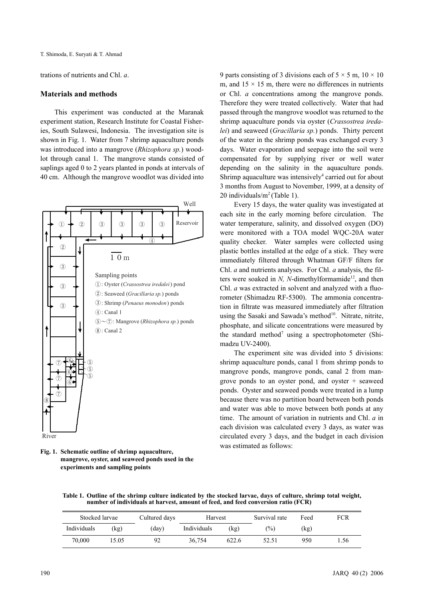trations of nutrients and Chl. *a*.

## **Materials and methods**

This experiment was conducted at the Maranak experiment station, Research Institute for Coastal Fisheries, South Sulawesi, Indonesia. The investigation site is shown in Fig. 1. Water from 7 shrimp aquaculture ponds was introduced into a mangrove (*Rhizophora sp.*) woodlot through canal 1. The mangrove stands consisted of saplings aged 0 to 2 years planted in ponds at intervals of 40 cm. Although the mangrove woodlot was divided into



**Fig. 1. Schematic outline of shrimp aquaculture, mangrove, oyster, and seaweed ponds used in the experiments and sampling points**

9 parts consisting of 3 divisions each of  $5 \times 5$  m,  $10 \times 10$ m, and  $15 \times 15$  m, there were no differences in nutrients or Chl. *a* concentrations among the mangrove ponds. Therefore they were treated collectively. Water that had passed through the mangrove woodlot was returned to the shrimp aquaculture ponds via oyster (*Crassostrea iredalei*) and seaweed (*Gracillaria sp.*) ponds. Thirty percent of the water in the shrimp ponds was exchanged every 3 days. Water evaporation and seepage into the soil were compensated for by supplying river or well water depending on the salinity in the aquaculture ponds. Shrimp aquaculture was intensively<sup>4</sup> carried out for about 3 months from August to November, 1999, at a density of 20 individuals/ $m^2$  (Table 1).

Every 15 days, the water quality was investigated at each site in the early morning before circulation. The water temperature, salinity, and dissolved oxygen (DO) were monitored with a TOA model WQC-20A water quality checker. Water samples were collected using plastic bottles installed at the edge of a stick. They were immediately filtered through Whatman GF/F filters for Chl. *a* and nutrients analyses. For Chl. *a* analysis, the filters were soaked in  $N$ ,  $N$ -dimethylformamide<sup>12</sup>, and then Chl. *a* was extracted in solvent and analyzed with a fluorometer (Shimadzu RF-5300). The ammonia concentration in filtrate was measured immediately after filtration using the Sasaki and Sawada's method<sup>10</sup>. Nitrate, nitrite, phosphate, and silicate concentrations were measured by the standard method<sup>7</sup> using a spectrophotometer (Shimadzu UV-2400).

The experiment site was divided into 5 divisions: shrimp aquaculture ponds, canal 1 from shrimp ponds to mangrove ponds, mangrove ponds, canal 2 from mangrove ponds to an oyster pond, and oyster + seaweed ponds. Oyster and seaweed ponds were treated in a lump because there was no partition board between both ponds and water was able to move between both ponds at any time. The amount of variation in nutrients and Chl. *a* in each division was calculated every 3 days, as water was circulated every 3 days, and the budget in each division was estimated as follows:

**Table 1. Outline of the shrimp culture indicated by the stocked larvae, days of culture, shrimp total weight, number of individuals at harvest, amount of feed, and feed conversion ratio (FCR)**

| Stocked larvae |      | Cultured days | Harvest     |       | Survival rate | Feed | FCR  |
|----------------|------|---------------|-------------|-------|---------------|------|------|
| Individuals    | (kg) | (day)         | Individuals | (kg)  | $(\%)$        | (kg) |      |
| 70.000         | 5.05 | 92            | 36.754      | 622.6 | 52.51         | 950  | 1.56 |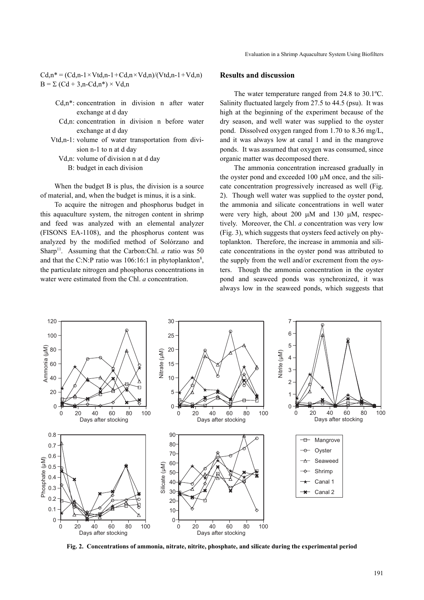$Cd, n^* = (Cd, n-1 \times Vtd, n-1+Cd, n \times Vd, n)/(Vtd, n-1+Vd, n)$  $B = \Sigma (Cd + 3.n - Cd.n^*) \times Vd.n$ 

- Cd,n\*: concentration in division n after water exchange at d day
- Cd,n: concentration in division n before water exchange at d day
- Vtd,n-1: volume of water transportation from division n-1 to n at d day
	- Vd,n: volume of division n at d day
		- B: budget in each division

When the budget B is plus, the division is a source of material, and, when the budget is minus, it is a sink.

To acquire the nitrogen and phosphorus budget in this aquaculture system, the nitrogen content in shrimp and feed was analyzed with an elemental analyzer (FISONS EA-1108), and the phosphorus content was analyzed by the modified method of Solórzano and Sharp<sup>11</sup>. Assuming that the Carbon:Chl. *a* ratio was 50 and that the C:N:P ratio was  $106:16:1$  in phytoplankton<sup>8</sup>, the particulate nitrogen and phosphorus concentrations in water were estimated from the Chl. *a* concentration.

# **Results and discussion**

The water temperature ranged from 24.8 to 30.1ºC. Salinity fluctuated largely from 27.5 to 44.5 (psu). It was high at the beginning of the experiment because of the dry season, and well water was supplied to the oyster pond. Dissolved oxygen ranged from 1.70 to 8.36 mg/L, and it was always low at canal 1 and in the mangrove ponds. It was assumed that oxygen was consumed, since organic matter was decomposed there.

The ammonia concentration increased gradually in the oyster pond and exceeded 100 μM once, and the silicate concentration progressively increased as well (Fig. 2). Though well water was supplied to the oyster pond, the ammonia and silicate concentrations in well water were very high, about 200 μM and 130 μM, respectively. Moreover, the Chl. *a* concentration was very low (Fig. 3), which suggests that oysters feed actively on phytoplankton. Therefore, the increase in ammonia and silicate concentrations in the oyster pond was attributed to the supply from the well and/or excrement from the oysters. Though the ammonia concentration in the oyster pond and seaweed ponds was synchronized, it was always low in the seaweed ponds, which suggests that



**Fig. 2. Concentrations of ammonia, nitrate, nitrite, phosphate, and silicate during the experimental period**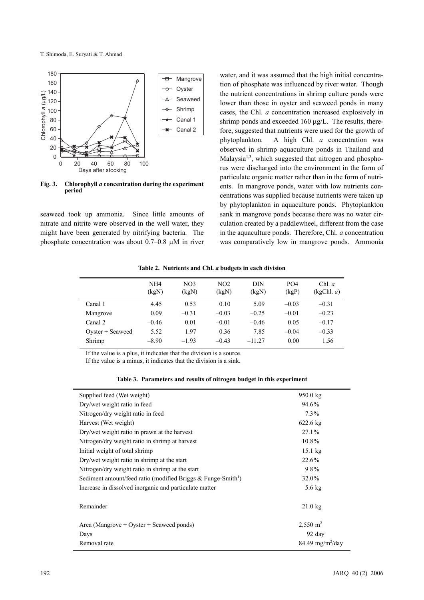

**Fig. 3. Chlorophyll** *a* **concentration during the experiment period**

seaweed took up ammonia. Since little amounts of nitrate and nitrite were observed in the well water, they might have been generated by nitrifying bacteria. The phosphate concentration was about 0.7–0.8 μM in river water, and it was assumed that the high initial concentration of phosphate was influenced by river water. Though the nutrient concentrations in shrimp culture ponds were lower than those in oyster and seaweed ponds in many cases, the Chl. *a* concentration increased explosively in shrimp ponds and exceeded 160 μg/L. The results, therefore, suggested that nutrients were used for the growth of phytoplankton. A high Chl. *a* concentration was observed in shrimp aquaculture ponds in Thailand and Malaysia<sup>1,3</sup>, which suggested that nitrogen and phosphorus were discharged into the environment in the form of particulate organic matter rather than in the form of nutrients. In mangrove ponds, water with low nutrients concentrations was supplied because nutrients were taken up by phytoplankton in aquaculture ponds. Phytoplankton sank in mangrove ponds because there was no water circulation created by a paddlewheel, different from the case in the aquaculture ponds. Therefore, Chl. *a* concentration was comparatively low in mangrove ponds. Ammonia

| Table 2. Nutrients and Chl. a budgets in each division |  |  |  |
|--------------------------------------------------------|--|--|--|
|                                                        |  |  |  |

|                     | NH <sub>4</sub><br>(kgN) | NO <sub>3</sub><br>(kgN) | NO <sub>2</sub><br>(kgN) | DIN<br>(kgN) | PO <sub>4</sub><br>(kgp) | Chl. a<br>(kgChl, a) |
|---------------------|--------------------------|--------------------------|--------------------------|--------------|--------------------------|----------------------|
| Canal 1             | 4.45                     | 0.53                     | 0.10                     | 5.09         | $-0.03$                  | $-0.31$              |
| Mangrove            | 0.09                     | $-0.31$                  | $-0.03$                  | $-0.25$      | $-0.01$                  | $-0.23$              |
| Canal 2             | $-0.46$                  | 0.01                     | $-0.01$                  | $-0.46$      | 0.05                     | $-0.17$              |
| $O$ yster + Seaweed | 5.52                     | 1.97                     | 0.36                     | 7.85         | $-0.04$                  | $-0.33$              |
| Shrimp              | $-8.90$                  | $-1.93$                  | $-0.43$                  | $-11.27$     | 0.00                     | 1.56                 |
|                     |                          |                          |                          |              |                          |                      |

If the value is a plus, it indicates that the division is a source.

If the value is a minus, it indicates that the division is a sink.

| Table 3. Parameters and results of nitrogen budget in this experiment |  |  |
|-----------------------------------------------------------------------|--|--|
|-----------------------------------------------------------------------|--|--|

| Supplied feed (Wet weight)                                                  | 950.0 kg                       |
|-----------------------------------------------------------------------------|--------------------------------|
| Dry/wet weight ratio in feed                                                | 94.6%                          |
| Nitrogen/dry weight ratio in feed                                           | $7.3\%$                        |
| Harvest (Wet weight)                                                        | $622.6 \text{ kg}$             |
| Dry/wet weight ratio in prawn at the harvest                                | $27.1\%$                       |
| Nitrogen/dry weight ratio in shrimp at harvest                              | 10.8%                          |
| Initial weight of total shrimp                                              | $15.1$ kg                      |
| Dry/wet weight ratio in shrimp at the start                                 | 22.6%                          |
| Nitrogen/dry weight ratio in shrimp at the start                            | 9.8%                           |
| Sediment amount/feed ratio (modified Briggs $\&$ Funge-Smith <sup>1</sup> ) | 32.0%                          |
| Increase in dissolved inorganic and particulate matter                      | $5.6 \text{ kg}$               |
|                                                                             |                                |
| Remainder                                                                   | $21.0$ kg                      |
|                                                                             |                                |
| Area (Mangrove + Oyster + Seaweed ponds)                                    | $2,550 \text{ m}^2$            |
| Days                                                                        | $92$ day                       |
| Removal rate                                                                | $84.49$ mg/m <sup>2</sup> /day |